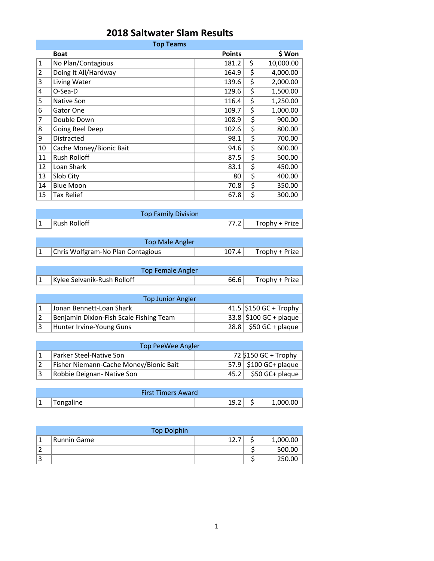## **2018 Saltwater Slam Results**

| <b>Top Teams</b> |                         |               |    |           |  |
|------------------|-------------------------|---------------|----|-----------|--|
|                  | <b>Boat</b>             | <b>Points</b> |    | \$ Won    |  |
| $\mathbf{1}$     | No Plan/Contagious      | 181.2         | \$ | 10,000.00 |  |
| $\overline{2}$   | Doing It All/Hardway    | 164.9         | \$ | 4,000.00  |  |
| 3                | Living Water            | 139.6         | \$ | 2,000.00  |  |
| 4                | O-Sea-D                 | 129.6         | \$ | 1,500.00  |  |
| 5                | Native Son              | 116.4         | \$ | 1,250.00  |  |
| 6                | Gator One               | 109.7         | \$ | 1,000.00  |  |
| 7                | Double Down             | 108.9         | \$ | 900.00    |  |
| 8                | Going Reel Deep         | 102.6         | \$ | 800.00    |  |
| 9                | <b>Distracted</b>       | 98.1          | \$ | 700.00    |  |
| 10               | Cache Money/Bionic Bait | 94.6          | \$ | 600.00    |  |
| 11               | <b>Rush Rolloff</b>     | 87.5          | \$ | 500.00    |  |
| 12               | Loan Shark              | 83.1          | \$ | 450.00    |  |
| 13               | Slob City               | 80            | \$ | 400.00    |  |
| 14               | <b>Blue Moon</b>        | 70.8          | \$ | 350.00    |  |
| 15               | <b>Tax Relief</b>       | 67.8          | \$ | 300.00    |  |

|             |              | <b>Top Family Division</b> |                     |
|-------------|--------------|----------------------------|---------------------|
| $ 1\rangle$ | Rush Rolloff |                            | 77.2 Trophy + Prize |
|             |              |                            |                     |
|             |              | .                          |                     |

| Top Male Angler |                                   |       |                  |  |
|-----------------|-----------------------------------|-------|------------------|--|
|                 | Chris Wolfgram-No Plan Contagious | 107.4 | $Trophy + Prize$ |  |

| Top Female Angler           |      |                |
|-----------------------------|------|----------------|
| Kylee Selvanik-Rush Rolloff | 66.6 | Trophy + Prize |

| <b>Top Junior Angler</b>                |  |                          |  |  |  |
|-----------------------------------------|--|--------------------------|--|--|--|
| Jonan Bennett-Loan Shark                |  | 41.5 \$150 GC + Trophy   |  |  |  |
| Benjamin Dixion-Fish Scale Fishing Team |  | $33.8$ \$100 GC + plaque |  |  |  |
| Hunter Irvine-Young Guns                |  | $28.8$ \$50 GC + plaque  |  |  |  |

| Top PeeWee Angler                      |  |                         |  |  |  |
|----------------------------------------|--|-------------------------|--|--|--|
| Parker Steel-Native Son                |  | 72 \$150 GC + Trophy    |  |  |  |
| Fisher Niemann-Cache Money/Bionic Bait |  | $57.9$ \$100 GC+ plaque |  |  |  |
| Robbie Deignan- Native Son             |  | $45.2$ \$50 GC+ plaque  |  |  |  |

|              | <b>First Timers Award</b> |   |          |
|--------------|---------------------------|---|----------|
| 1<br>$\perp$ | Tongaline                 | u | . 000 01 |

|                         | <b>Top Dolphin</b> |      |          |
|-------------------------|--------------------|------|----------|
|                         | Runnin Game        | 12.7 | 1,000.00 |
|                         |                    |      | 500.00   |
| $\overline{\mathbf{a}}$ |                    |      | 250.00   |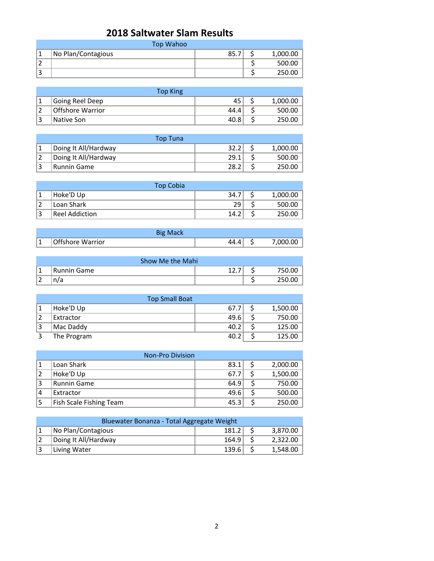## **2018 Saltwater Slam Results**

|   | Top Wahoo          |      |          |
|---|--------------------|------|----------|
|   | No Plan/Contagious | 85.7 | 1,000.00 |
|   |                    |      | 500.00   |
| ◠ |                    |      | 250.00   |

| <b>Top King</b>  |      |          |
|------------------|------|----------|
| Going Reel Deep  | 45   | 1,000.00 |
| Offshore Warrior | 44.4 | 500.00   |
| Native Son       | 40.8 | 250.00   |

| Top Tuna             |      |          |
|----------------------|------|----------|
| Doing It All/Hardway | 32.2 | 1,000.00 |
| Doing It All/Hardway | 29.1 | 500.00   |
| <b>Runnin Game</b>   | 28.2 | 250.00   |

|    | <b>Top Cobia</b> |      |          |
|----|------------------|------|----------|
|    | Hoke'D Up        | 34.7 | 1,000.00 |
|    | Loan Shark       | 29   | 500.00   |
| 13 | Reel Addiction   | 14.2 | 250.00   |

|   | <b>Big Mack</b>  |     |          |
|---|------------------|-----|----------|
| ᆠ | Offshore Warrior | 44. | 7,000.00 |

| Show Me the Mahi                |             |  |  |        |  |
|---------------------------------|-------------|--|--|--------|--|
| і и                             | Runnin Game |  |  | 50.00  |  |
| $\overline{\phantom{0}}$<br>، ک |             |  |  | 250.00 |  |

|                | <b>Top Small Boat</b> |      |  |          |  |  |
|----------------|-----------------------|------|--|----------|--|--|
|                | Hoke'D Up             | 67.7 |  | 1,500.00 |  |  |
| $\overline{2}$ | Extractor             | 49.6 |  | 750.00   |  |  |
| 13             | Mac Daddy             | 40.2 |  | 125.00   |  |  |
|                | The Program           | 40.2 |  | 125.00   |  |  |

| <b>Non-Pro Division</b> |                         |      |  |          |  |
|-------------------------|-------------------------|------|--|----------|--|
|                         | Loan Shark              | 83.1 |  | 2,000.00 |  |
|                         | Hoke'D Up               | 67.7 |  | 1,500.00 |  |
| 3                       | <b>Runnin Game</b>      | 64.9 |  | 750.00   |  |
| 4                       | Extractor               | 49.6 |  | 500.00   |  |
|                         | Fish Scale Fishing Team | 45.3 |  | 250.00   |  |

| Bluewater Bonanza - Total Aggregate Weight |                      |       |  |          |  |
|--------------------------------------------|----------------------|-------|--|----------|--|
|                                            | No Plan/Contagious   | 181.2 |  | 3,870.00 |  |
|                                            | Doing It All/Hardway | 164.9 |  | 2,322.00 |  |
|                                            | Living Water         | 139.6 |  | 1,548.00 |  |